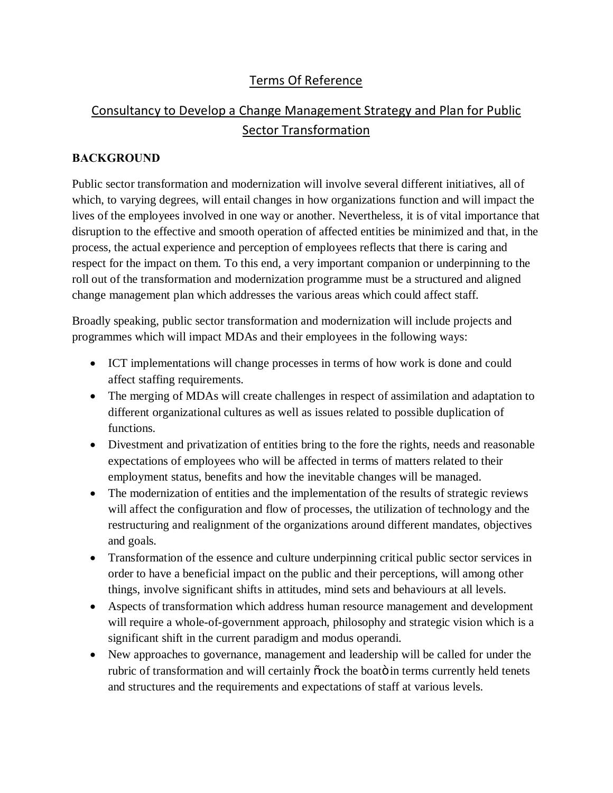# Terms Of Reference

# Consultancy to Develop a Change Management Strategy and Plan for Public Sector Transformation

### **BACKGROUND**

Public sector transformation and modernization will involve several different initiatives, all of which, to varying degrees, will entail changes in how organizations function and will impact the lives of the employees involved in one way or another. Nevertheless, it is of vital importance that disruption to the effective and smooth operation of affected entities be minimized and that, in the process, the actual experience and perception of employees reflects that there is caring and respect for the impact on them. To this end, a very important companion or underpinning to the roll out of the transformation and modernization programme must be a structured and aligned change management plan which addresses the various areas which could affect staff.

Broadly speaking, public sector transformation and modernization will include projects and programmes which will impact MDAs and their employees in the following ways:

- · ICT implementations will change processes in terms of how work is done and could affect staffing requirements.
- The merging of MDAs will create challenges in respect of assimilation and adaptation to different organizational cultures as well as issues related to possible duplication of functions.
- Divestment and privatization of entities bring to the fore the rights, needs and reasonable expectations of employees who will be affected in terms of matters related to their employment status, benefits and how the inevitable changes will be managed.
- The modernization of entities and the implementation of the results of strategic reviews will affect the configuration and flow of processes, the utilization of technology and the restructuring and realignment of the organizations around different mandates, objectives and goals.
- · Transformation of the essence and culture underpinning critical public sector services in order to have a beneficial impact on the public and their perceptions, will among other things, involve significant shifts in attitudes, mind sets and behaviours at all levels.
- · Aspects of transformation which address human resource management and development will require a whole-of-government approach, philosophy and strategic vision which is a significant shift in the current paradigm and modus operandi.
- New approaches to governance, management and leadership will be called for under the rubric of transformation and will certainly or fock the boatom in terms currently held tenets and structures and the requirements and expectations of staff at various levels.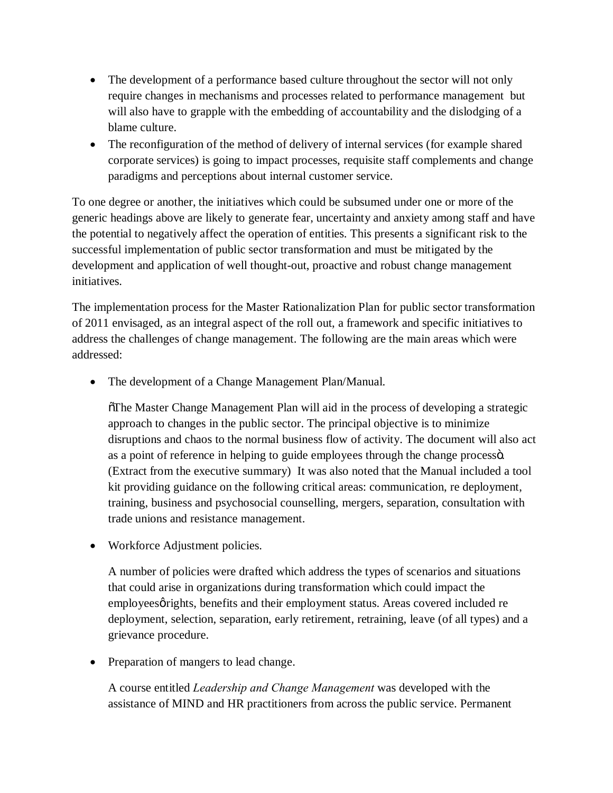- The development of a performance based culture throughout the sector will not only require changes in mechanisms and processes related to performance management but will also have to grapple with the embedding of accountability and the dislodging of a blame culture.
- The reconfiguration of the method of delivery of internal services (for example shared corporate services) is going to impact processes, requisite staff complements and change paradigms and perceptions about internal customer service.

To one degree or another, the initiatives which could be subsumed under one or more of the generic headings above are likely to generate fear, uncertainty and anxiety among staff and have the potential to negatively affect the operation of entities. This presents a significant risk to the successful implementation of public sector transformation and must be mitigated by the development and application of well thought-out, proactive and robust change management initiatives.

The implementation process for the Master Rationalization Plan for public sector transformation of 2011 envisaged, as an integral aspect of the roll out, a framework and specific initiatives to address the challenges of change management. The following are the main areas which were addressed:

• The development of a Change Management Plan/Manual.

"The Master Change Management Plan will aid in the process of developing a strategic approach to changes in the public sector. The principal objective is to minimize disruptions and chaos to the normal business flow of activity. The document will also act as a point of reference in helping to guide employees through the change processo. (Extract from the executive summary) It was also noted that the Manual included a tool kit providing guidance on the following critical areas: communication, re deployment, training, business and psychosocial counselling, mergers, separation, consultation with trade unions and resistance management.

• Workforce Adjustment policies.

A number of policies were drafted which address the types of scenarios and situations that could arise in organizations during transformation which could impact the employees grights, benefits and their employment status. Areas covered included re deployment, selection, separation, early retirement, retraining, leave (of all types) and a grievance procedure.

• Preparation of mangers to lead change.

A course entitled *Leadership and Change Management* was developed with the assistance of MIND and HR practitioners from across the public service. Permanent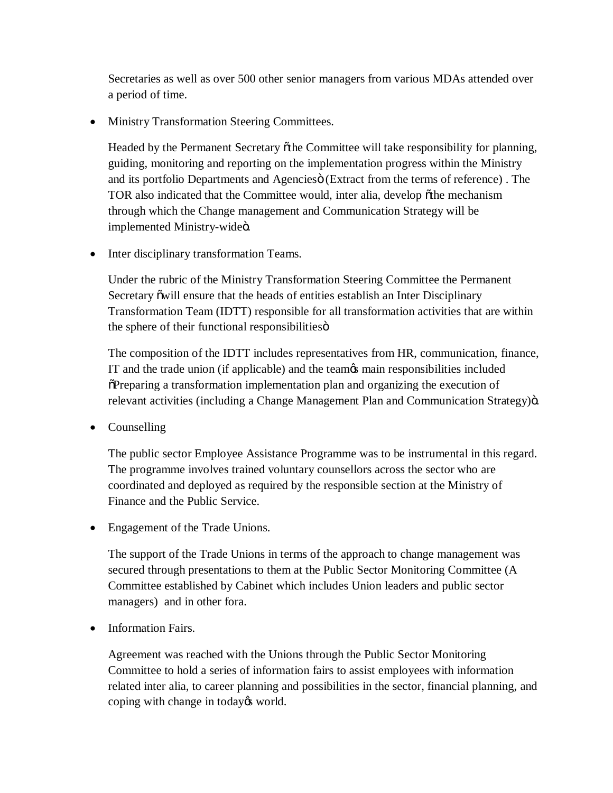Secretaries as well as over 500 other senior managers from various MDAs attended over a period of time.

· Ministry Transformation Steering Committees.

Headed by the Permanent Secretary õthe Committee will take responsibility for planning, guiding, monitoring and reporting on the implementation progress within the Ministry and its portfolio Departments and Agencies (Extract from the terms of reference). The TOR also indicated that the Committee would, inter alia, develop õthe mechanism through which the Change management and Communication Strategy will be implemented Ministry-wideö.

• Inter disciplinary transformation Teams.

Under the rubric of the Ministry Transformation Steering Committee the Permanent Secretary õwill ensure that the heads of entities establish an Inter Disciplinary Transformation Team (IDTT) responsible for all transformation activities that are within the sphere of their functional responsibilities  $\ddot{o}$ 

The composition of the IDTT includes representatives from HR, communication, finance, IT and the trade union (if applicable) and the team's main responsibilities included "Preparing a transformation implementation plan and organizing the execution of relevant activities (including a Change Management Plan and Communication Strategy) $\ddot{o}$ .

• Counselling

The public sector Employee Assistance Programme was to be instrumental in this regard. The programme involves trained voluntary counsellors across the sector who are coordinated and deployed as required by the responsible section at the Ministry of Finance and the Public Service.

• Engagement of the Trade Unions.

The support of the Trade Unions in terms of the approach to change management was secured through presentations to them at the Public Sector Monitoring Committee (A Committee established by Cabinet which includes Union leaders and public sector managers) and in other fora.

• Information Fairs.

Agreement was reached with the Unions through the Public Sector Monitoring Committee to hold a series of information fairs to assist employees with information related inter alia, to career planning and possibilities in the sector, financial planning, and coping with change in today<sub> $\alpha$ </sub> world.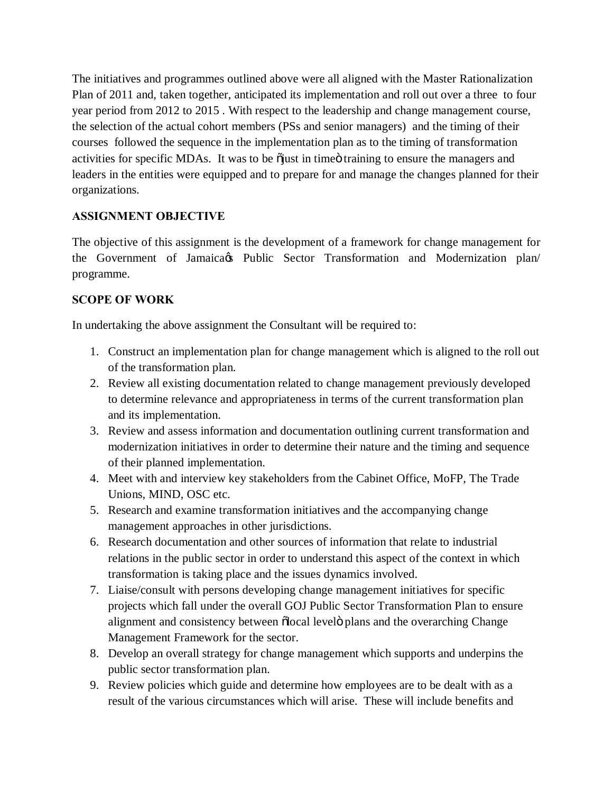The initiatives and programmes outlined above were all aligned with the Master Rationalization Plan of 2011 and, taken together, anticipated its implementation and roll out over a three to four year period from 2012 to 2015 . With respect to the leadership and change management course, the selection of the actual cohort members (PSs and senior managers) and the timing of their courses followed the sequence in the implementation plan as to the timing of transformation activities for specific MDAs. It was to be  $\delta$  just in time otraining to ensure the managers and leaders in the entities were equipped and to prepare for and manage the changes planned for their organizations.

### **ASSIGNMENT OBJECTIVE**

The objective of this assignment is the development of a framework for change management for the Government of Jamaica & Public Sector Transformation and Modernization plan/ programme.

## **SCOPE OF WORK**

In undertaking the above assignment the Consultant will be required to:

- 1. Construct an implementation plan for change management which is aligned to the roll out of the transformation plan.
- 2. Review all existing documentation related to change management previously developed to determine relevance and appropriateness in terms of the current transformation plan and its implementation.
- 3. Review and assess information and documentation outlining current transformation and modernization initiatives in order to determine their nature and the timing and sequence of their planned implementation.
- 4. Meet with and interview key stakeholders from the Cabinet Office, MoFP, The Trade Unions, MIND, OSC etc.
- 5. Research and examine transformation initiatives and the accompanying change management approaches in other jurisdictions.
- 6. Research documentation and other sources of information that relate to industrial relations in the public sector in order to understand this aspect of the context in which transformation is taking place and the issues dynamics involved.
- 7. Liaise/consult with persons developing change management initiatives for specific projects which fall under the overall GOJ Public Sector Transformation Plan to ensure alignment and consistency between  $\delta$ local level $\ddot{o}$  plans and the overarching Change Management Framework for the sector.
- 8. Develop an overall strategy for change management which supports and underpins the public sector transformation plan.
- 9. Review policies which guide and determine how employees are to be dealt with as a result of the various circumstances which will arise. These will include benefits and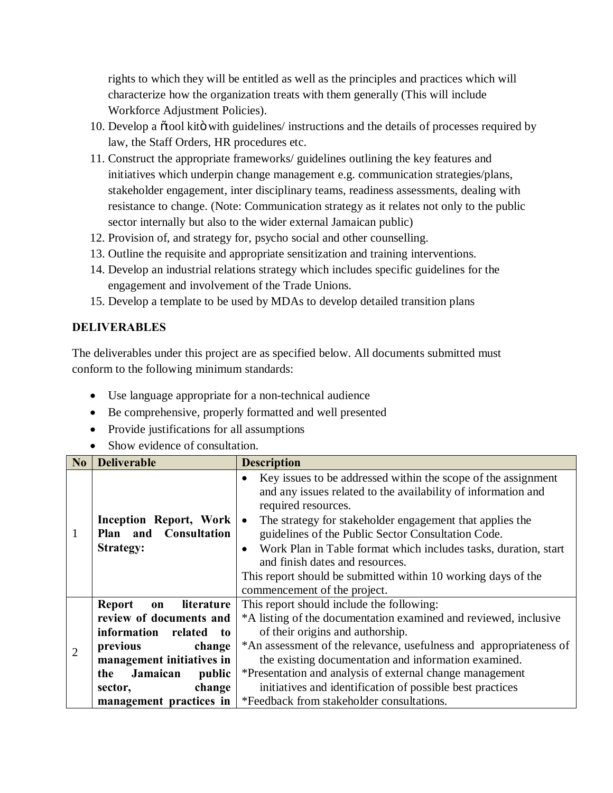rights to which they will be entitled as well as the principles and practices which will characterize how the organization treats with them generally (This will include Workforce Adjustment Policies).

- 10. Develop a  $\tilde{o}$  tool kito with guidelines/ instructions and the details of processes required by law, the Staff Orders, HR procedures etc.
- 11. Construct the appropriate frameworks/ guidelines outlining the key features and initiatives which underpin change management e.g. communication strategies/plans, stakeholder engagement, inter disciplinary teams, readiness assessments, dealing with resistance to change. (Note: Communication strategy as it relates not only to the public sector internally but also to the wider external Jamaican public)
- 12. Provision of, and strategy for, psycho social and other counselling.
- 13. Outline the requisite and appropriate sensitization and training interventions.
- 14. Develop an industrial relations strategy which includes specific guidelines for the engagement and involvement of the Trade Unions.
- 15. Develop a template to be used by MDAs to develop detailed transition plans

### **DELIVERABLES**

The deliverables under this project are as specified below. All documents submitted must conform to the following minimum standards:

- · Use language appropriate for a non-technical audience
- · Be comprehensive, properly formatted and well presented
- · Provide justifications for all assumptions
- Show evidence of consultation.

| No             | <b>Deliverable</b>                                                                                                                                                                                                           | <b>Description</b>                                                                                                                                                                                                                                                                                                                                                                                                                                                                                                    |
|----------------|------------------------------------------------------------------------------------------------------------------------------------------------------------------------------------------------------------------------------|-----------------------------------------------------------------------------------------------------------------------------------------------------------------------------------------------------------------------------------------------------------------------------------------------------------------------------------------------------------------------------------------------------------------------------------------------------------------------------------------------------------------------|
| 1              | Inception Report, Work<br>Plan and Consultation<br><b>Strategy:</b>                                                                                                                                                          | Key issues to be addressed within the scope of the assignment<br>$\bullet$<br>and any issues related to the availability of information and<br>required resources.<br>The strategy for stakeholder engagement that applies the<br>$\bullet$<br>guidelines of the Public Sector Consultation Code.<br>Work Plan in Table format which includes tasks, duration, start<br>$\bullet$<br>and finish dates and resources.<br>This report should be submitted within 10 working days of the<br>commencement of the project. |
| $\overline{2}$ | literature<br><b>Report</b><br>on<br>review of documents and<br>information<br>related<br>to<br>previous<br>change<br>management initiatives in<br>Jamaican<br>public<br>the<br>change<br>sector,<br>management practices in | This report should include the following:<br>*A listing of the documentation examined and reviewed, inclusive<br>of their origins and authorship.<br>*An assessment of the relevance, usefulness and appropriateness of<br>the existing documentation and information examined.<br>*Presentation and analysis of external change management<br>initiatives and identification of possible best practices<br>*Feedback from stakeholder consultations.                                                                 |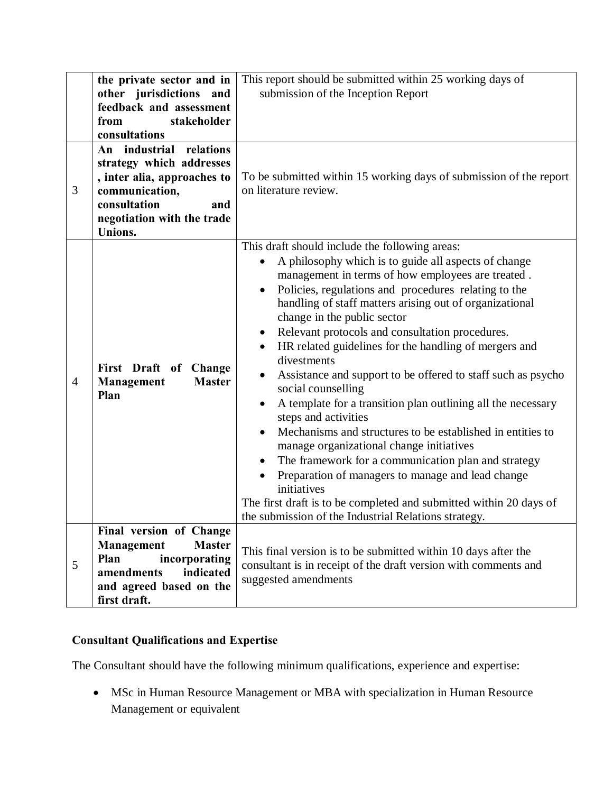|                | the private sector and in<br>other jurisdictions and<br>feedback and assessment<br>stakeholder<br>from<br>consultations                                                 | This report should be submitted within 25 working days of<br>submission of the Inception Report                                                                                                                                                                                                                                                                                                                                                                                                                                                                                                                                                                                                                                                                                                                                                                                                                                                                                                                     |
|----------------|-------------------------------------------------------------------------------------------------------------------------------------------------------------------------|---------------------------------------------------------------------------------------------------------------------------------------------------------------------------------------------------------------------------------------------------------------------------------------------------------------------------------------------------------------------------------------------------------------------------------------------------------------------------------------------------------------------------------------------------------------------------------------------------------------------------------------------------------------------------------------------------------------------------------------------------------------------------------------------------------------------------------------------------------------------------------------------------------------------------------------------------------------------------------------------------------------------|
| 3              | relations<br>An industrial<br>strategy which addresses<br>, inter alia, approaches to<br>communication,<br>consultation<br>and<br>negotiation with the trade<br>Unions. | To be submitted within 15 working days of submission of the report<br>on literature review.                                                                                                                                                                                                                                                                                                                                                                                                                                                                                                                                                                                                                                                                                                                                                                                                                                                                                                                         |
| $\overline{4}$ | First Draft of Change<br><b>Master</b><br><b>Management</b><br>Plan                                                                                                     | This draft should include the following areas:<br>A philosophy which is to guide all aspects of change<br>management in terms of how employees are treated.<br>Policies, regulations and procedures relating to the<br>$\bullet$<br>handling of staff matters arising out of organizational<br>change in the public sector<br>Relevant protocols and consultation procedures.<br>HR related guidelines for the handling of mergers and<br>$\bullet$<br>divestments<br>Assistance and support to be offered to staff such as psycho<br>social counselling<br>A template for a transition plan outlining all the necessary<br>steps and activities<br>Mechanisms and structures to be established in entities to<br>manage organizational change initiatives<br>The framework for a communication plan and strategy<br>Preparation of managers to manage and lead change<br>initiatives<br>The first draft is to be completed and submitted within 20 days of<br>the submission of the Industrial Relations strategy. |
| 5              | Final version of Change<br>Management<br><b>Master</b><br>Plan<br>incorporating<br>indicated<br>amendments<br>and agreed based on the<br>first draft.                   | This final version is to be submitted within 10 days after the<br>consultant is in receipt of the draft version with comments and<br>suggested amendments                                                                                                                                                                                                                                                                                                                                                                                                                                                                                                                                                                                                                                                                                                                                                                                                                                                           |

# **Consultant Qualifications and Expertise**

The Consultant should have the following minimum qualifications, experience and expertise:

· MSc in Human Resource Management or MBA with specialization in Human Resource Management or equivalent